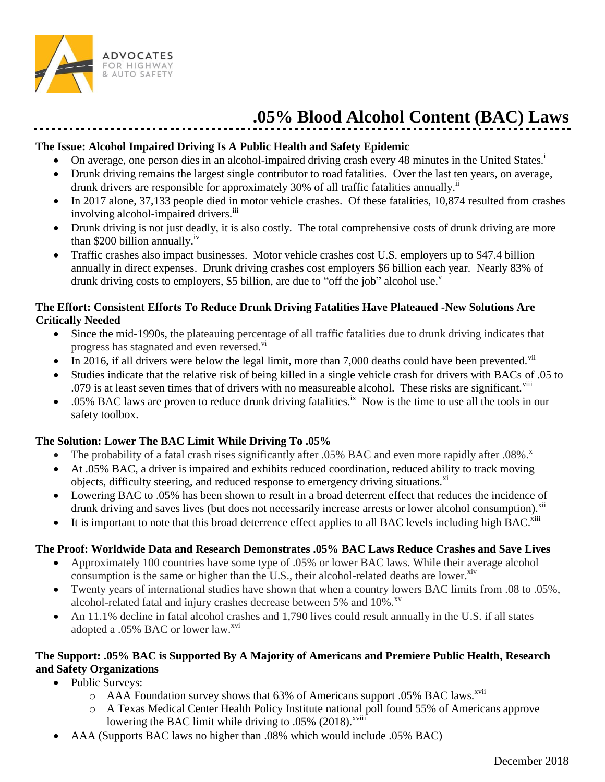

# **.05% Blood Alcohol Content (BAC) Laws**

#### **The Issue: Alcohol Impaired Driving Is A Public Health and Safety Epidemic**

- $\bullet$  On average, one person dies in an alcohol-impaired driving crash every 48 minutes in the United States.<sup>1</sup>
- Drunk driving remains the largest single contributor to road fatalities. Over the last ten years, on average, drunk drivers are responsible for approximately 30% of all traffic fatalities annually.<sup>ii</sup>
- In 2017 alone, 37,133 people died in motor vehicle crashes. Of these fatalities, 10,874 resulted from crashes involving alcohol-impaired drivers.<sup>iii</sup>
- Drunk driving is not just deadly, it is also costly. The total comprehensive costs of drunk driving are more than \$200 billion annually.<sup>iv</sup>
- Traffic crashes also impact businesses. Motor vehicle crashes cost U.S. employers up to \$47.4 billion annually in direct expenses. Drunk driving crashes cost employers \$6 billion each year. Nearly 83% of drunk driving costs to employers, \$5 billion, are due to "off the job" alcohol use."

### **The Effort: Consistent Efforts To Reduce Drunk Driving Fatalities Have Plateaued -New Solutions Are Critically Needed**

- Since the mid-1990s, the plateauing percentage of all traffic fatalities due to drunk driving indicates that progress has stagnated and even reversed.<sup>vi</sup>
- In 2016, if all drivers were below the legal limit, more than 7,000 deaths could have been prevented.<sup>vii</sup>
- Studies indicate that the relative risk of being killed in a single vehicle crash for drivers with BACs of .05 to .079 is at least seven times that of drivers with no measureable alcohol. These risks are significant.<sup>viii</sup>
- $\bullet$  .05% BAC laws are proven to reduce drunk driving fatalities.<sup>ix</sup> Now is the time to use all the tools in our safety toolbox.

# **The Solution: Lower The BAC Limit While Driving To .05%**

- The probability of a fatal crash rises significantly after .05% BAC and even more rapidly after .08%.
- At .05% BAC, a driver is impaired and exhibits reduced coordination, reduced ability to track moving objects, difficulty steering, and reduced response to emergency driving situations.<sup>xi</sup>
- Lowering BAC to .05% has been shown to result in a broad deterrent effect that reduces the incidence of drunk driving and saves lives (but does not necessarily increase arrests or lower alcohol consumption).<sup>xii</sup>
- It is important to note that this broad deterrence effect applies to all BAC levels including high BAC.<sup>xiii</sup>

# **The Proof: Worldwide Data and Research Demonstrates .05% BAC Laws Reduce Crashes and Save Lives**

- Approximately 100 countries have some type of .05% or lower BAC laws. While their average alcohol consumption is the same or higher than the U.S., their alcohol-related deaths are lower. $^{xiv}$
- Twenty years of international studies have shown that when a country lowers BAC limits from .08 to .05%, alcohol-related fatal and injury crashes decrease between 5% and 10%.<sup>xv</sup>
- An 11.1% decline in fatal alcohol crashes and 1,790 lives could result annually in the U.S. if all states adopted a .05% BAC or lower law.<sup>xvi</sup>

## **The Support: .05% BAC is Supported By A Majority of Americans and Premiere Public Health, Research and Safety Organizations**

- Public Surveys:
	- o AAA Foundation survey shows that 63% of Americans support .05% BAC laws.<sup>xvii</sup>
	- o A Texas Medical Center Health Policy Institute national poll found 55% of Americans approve lowering the BAC limit while driving to .05% (2018).<sup>xviii</sup>
- AAA (Supports BAC laws no higher than .08% which would include .05% BAC)